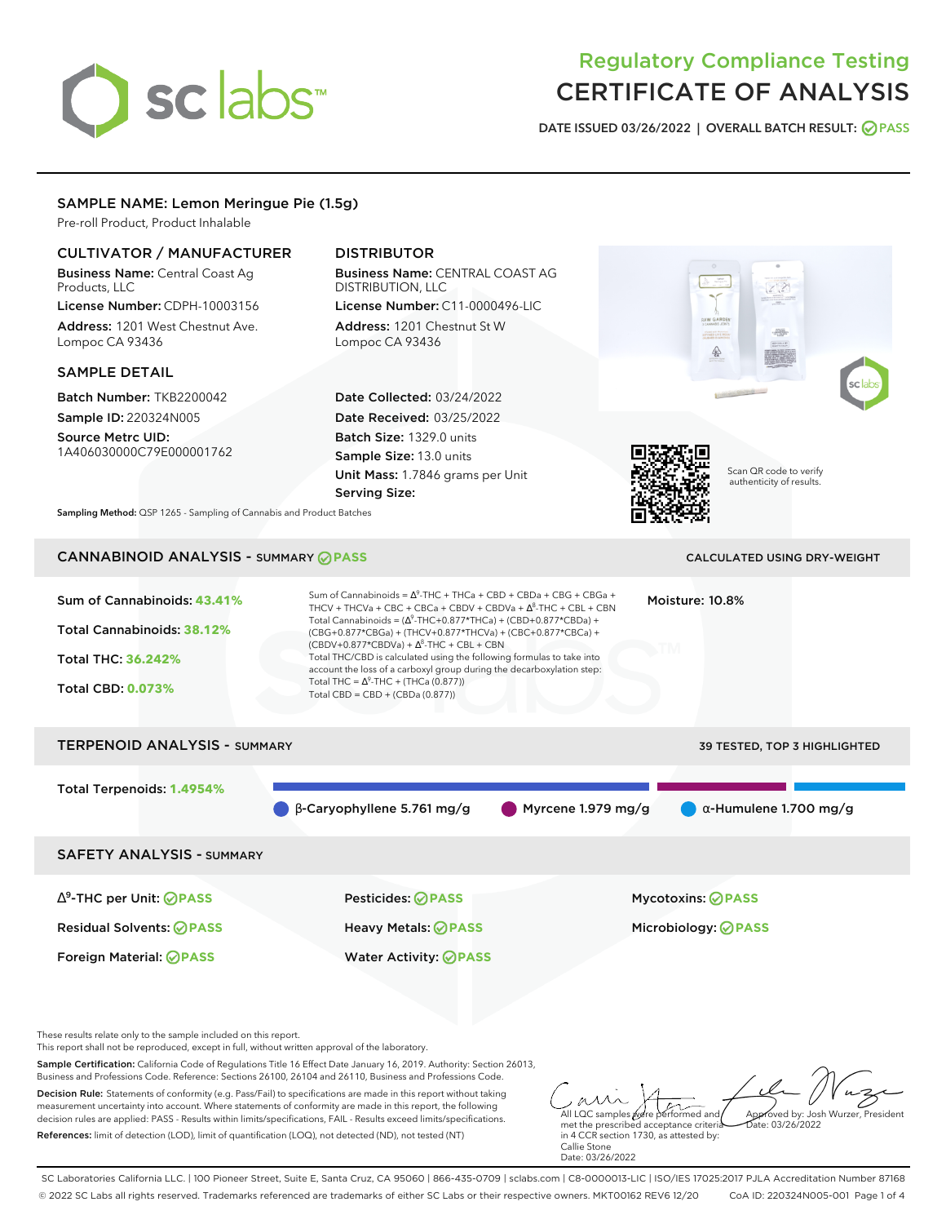# sclabs<sup>\*</sup>

# Regulatory Compliance Testing CERTIFICATE OF ANALYSIS

**DATE ISSUED 03/26/2022 | OVERALL BATCH RESULT: PASS**

#### SAMPLE NAME: Lemon Meringue Pie (1.5g)

Pre-roll Product, Product Inhalable

#### CULTIVATOR / MANUFACTURER

Business Name: Central Coast Ag Products, LLC License Number: CDPH-10003156

Address: 1201 West Chestnut Ave. Lompoc CA 93436

#### SAMPLE DETAIL

Batch Number: TKB2200042 Sample ID: 220324N005

Source Metrc UID: 1A406030000C79E000001762

## DISTRIBUTOR

Business Name: CENTRAL COAST AG DISTRIBUTION, LLC License Number: C11-0000496-LIC

Address: 1201 Chestnut St W Lompoc CA 93436

Date Collected: 03/24/2022 Date Received: 03/25/2022 Batch Size: 1329.0 units Sample Size: 13.0 units Unit Mass: 1.7846 grams per Unit Serving Size:



Scan QR code to verify authenticity of results.

**Sampling Method:** QSP 1265 - Sampling of Cannabis and Product Batches

# CANNABINOID ANALYSIS - SUMMARY **PASS** CALCULATED USING DRY-WEIGHT

| Sum of Cannabinoids: 43.41%<br>Total Cannabinoids: 38.12%<br><b>Total THC: 36.242%</b><br><b>Total CBD: 0.073%</b> | Sum of Cannabinoids = $\Delta^9$ -THC + THCa + CBD + CBDa + CBG + CBGa +<br>THCV + THCVa + CBC + CBCa + CBDV + CBDVa + $\Delta^8$ -THC + CBL + CBN<br>Total Cannabinoids = $(\Delta^9$ -THC+0.877*THCa) + (CBD+0.877*CBDa) +<br>(CBG+0.877*CBGa) + (THCV+0.877*THCVa) + (CBC+0.877*CBCa) +<br>$(CBDV+0.877*CBDVa) + \Delta^8$ -THC + CBL + CBN<br>Total THC/CBD is calculated using the following formulas to take into<br>account the loss of a carboxyl group during the decarboxylation step:<br>Total THC = $\Delta^9$ -THC + (THCa (0.877))<br>Total CBD = $CBD + (CBDa (0.877))$ |                    | Moisture: 10.8%                                 |
|--------------------------------------------------------------------------------------------------------------------|----------------------------------------------------------------------------------------------------------------------------------------------------------------------------------------------------------------------------------------------------------------------------------------------------------------------------------------------------------------------------------------------------------------------------------------------------------------------------------------------------------------------------------------------------------------------------------------|--------------------|-------------------------------------------------|
| <b>TERPENOID ANALYSIS - SUMMARY</b>                                                                                |                                                                                                                                                                                                                                                                                                                                                                                                                                                                                                                                                                                        |                    | <b>39 TESTED, TOP 3 HIGHLIGHTED</b>             |
| Total Terpenoids: 1.4954%                                                                                          | $\beta$ -Caryophyllene 5.761 mg/g                                                                                                                                                                                                                                                                                                                                                                                                                                                                                                                                                      | Myrcene 1.979 mg/g | $\alpha$ -Humulene 1.700 mg/g                   |
| <b>SAFETY ANALYSIS - SUMMARY</b>                                                                                   |                                                                                                                                                                                                                                                                                                                                                                                                                                                                                                                                                                                        |                    |                                                 |
| $\Delta^9$ -THC per Unit: $\bigotimes$ PASS<br><b>Residual Solvents: ⊘PASS</b><br>Foreign Material: <b>⊘ PASS</b>  | Pesticides: ⊘PASS<br>Heavy Metals: <b>OPASS</b><br><b>Water Activity: ⊘PASS</b>                                                                                                                                                                                                                                                                                                                                                                                                                                                                                                        |                    | Mycotoxins: ⊘PASS<br>Microbiology: <b>OPASS</b> |

These results relate only to the sample included on this report.

This report shall not be reproduced, except in full, without written approval of the laboratory.

Sample Certification: California Code of Regulations Title 16 Effect Date January 16, 2019. Authority: Section 26013, Business and Professions Code. Reference: Sections 26100, 26104 and 26110, Business and Professions Code.

Decision Rule: Statements of conformity (e.g. Pass/Fail) to specifications are made in this report without taking measurement uncertainty into account. Where statements of conformity are made in this report, the following decision rules are applied: PASS - Results within limits/specifications, FAIL - Results exceed limits/specifications. References: limit of detection (LOD), limit of quantification (LOQ), not detected (ND), not tested (NT)

All LQC samples were performed and met the prescribed acceptance criteria Approved by: Josh Wurzer, President  $hat: 03/26/2022$ 

in 4 CCR section 1730, as attested by: Callie Stone Date: 03/26/2022

SC Laboratories California LLC. | 100 Pioneer Street, Suite E, Santa Cruz, CA 95060 | 866-435-0709 | sclabs.com | C8-0000013-LIC | ISO/IES 17025:2017 PJLA Accreditation Number 87168 © 2022 SC Labs all rights reserved. Trademarks referenced are trademarks of either SC Labs or their respective owners. MKT00162 REV6 12/20 CoA ID: 220324N005-001 Page 1 of 4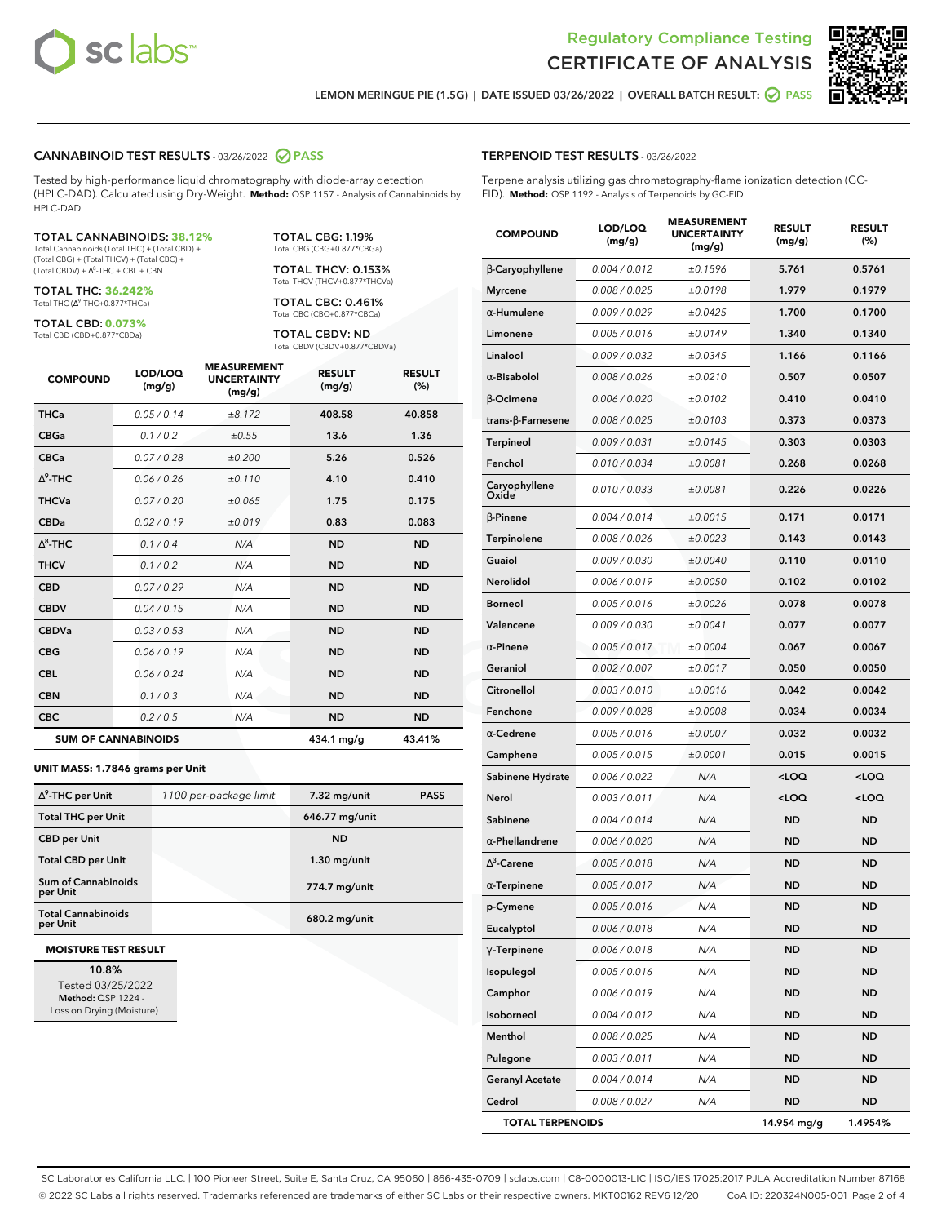



**LEMON MERINGUE PIE (1.5G) | DATE ISSUED 03/26/2022 | OVERALL BATCH RESULT: PASS**

#### **CANNABINOID TEST RESULTS** - 03/26/2022 **PASS**

Tested by high-performance liquid chromatography with diode-array detection (HPLC-DAD). Calculated using Dry-Weight. **Method:** QSP 1157 - Analysis of Cannabinoids by HPLC-DAD

#### TOTAL CANNABINOIDS: **38.12%**

Total Cannabinoids (Total THC) + (Total CBD) + (Total CBG) + (Total THCV) + (Total CBC) +  $(Total CBDV) +  $\Delta^8$ -THC + CBL + CBN$ 

TOTAL THC: **36.242%** Total THC (Ƽ-THC+0.877\*THCa)

TOTAL CBD: **0.073%** Total CBD (CBD+0.877\*CBDa)

TOTAL CBG: 1.19% Total CBG (CBG+0.877\*CBGa)

TOTAL THCV: 0.153% Total THCV (THCV+0.877\*THCVa)

TOTAL CBC: 0.461% Total CBC (CBC+0.877\*CBCa)

TOTAL CBDV: ND Total CBDV (CBDV+0.877\*CBDVa)

| <b>COMPOUND</b> | LOD/LOQ<br>(mg/g)          | <b>MEASUREMENT</b><br><b>UNCERTAINTY</b><br>(mg/g) | <b>RESULT</b><br>(mg/g) | <b>RESULT</b><br>(%) |
|-----------------|----------------------------|----------------------------------------------------|-------------------------|----------------------|
| <b>THCa</b>     | 0.05/0.14                  | ±8.172                                             | 408.58                  | 40.858               |
| <b>CBGa</b>     | 0.1 / 0.2                  | ±0.55                                              | 13.6                    | 1.36                 |
| <b>CBCa</b>     | 0.07/0.28                  | ±0.200                                             | 5.26                    | 0.526                |
| $\Delta^9$ -THC | 0.06 / 0.26                | ±0.110                                             | 4.10                    | 0.410                |
| <b>THCVa</b>    | 0.07/0.20                  | ±0.065                                             | 1.75                    | 0.175                |
| <b>CBDa</b>     | 0.02/0.19                  | ±0.019                                             | 0.83                    | 0.083                |
| $\wedge^8$ -THC | 0.1 / 0.4                  | N/A                                                | <b>ND</b>               | <b>ND</b>            |
| <b>THCV</b>     | 0.1/0.2                    | N/A                                                | <b>ND</b>               | <b>ND</b>            |
| <b>CBD</b>      | 0.07/0.29                  | N/A                                                | <b>ND</b>               | <b>ND</b>            |
| <b>CBDV</b>     | 0.04 / 0.15                | N/A                                                | <b>ND</b>               | <b>ND</b>            |
| <b>CBDVa</b>    | 0.03/0.53                  | N/A                                                | <b>ND</b>               | <b>ND</b>            |
| <b>CBG</b>      | 0.06/0.19                  | N/A                                                | <b>ND</b>               | <b>ND</b>            |
| <b>CBL</b>      | 0.06 / 0.24                | N/A                                                | <b>ND</b>               | <b>ND</b>            |
| <b>CBN</b>      | 0.1/0.3                    | N/A                                                | <b>ND</b>               | <b>ND</b>            |
| <b>CBC</b>      | 0.2 / 0.5                  | N/A                                                | <b>ND</b>               | <b>ND</b>            |
|                 | <b>SUM OF CANNABINOIDS</b> |                                                    | 434.1 mg/g              | 43.41%               |

#### **UNIT MASS: 1.7846 grams per Unit**

| $\Delta^9$ -THC per Unit              | 1100 per-package limit | 7.32 mg/unit   | <b>PASS</b> |
|---------------------------------------|------------------------|----------------|-------------|
| <b>Total THC per Unit</b>             |                        | 646.77 mg/unit |             |
| <b>CBD per Unit</b>                   |                        | <b>ND</b>      |             |
| <b>Total CBD per Unit</b>             |                        | $1.30$ mg/unit |             |
| Sum of Cannabinoids<br>per Unit       |                        | 774.7 mg/unit  |             |
| <b>Total Cannabinoids</b><br>per Unit |                        | 680.2 mg/unit  |             |

#### **MOISTURE TEST RESULT**

**10.8%** Tested 03/25/2022 **Method:** QSP 1224 - Loss on Drying (Moisture)

#### **TERPENOID TEST RESULTS** - 03/26/2022

Terpene analysis utilizing gas chromatography-flame ionization detection (GC-FID). **Method:** QSP 1192 - Analysis of Terpenoids by GC-FID

| <b>COMPOUND</b>         | LOD/LOQ<br>(mg/g) | <b>MEASUREMENT</b><br><b>UNCERTAINTY</b><br>(mg/g) | <b>RESULT</b><br>(mg/g)                         | <b>RESULT</b><br>$(\%)$ |
|-------------------------|-------------------|----------------------------------------------------|-------------------------------------------------|-------------------------|
| β-Caryophyllene         | 0.004 / 0.012     | ±0.1596                                            | 5.761                                           | 0.5761                  |
| <b>Myrcene</b>          | 0.008 / 0.025     | ±0.0198                                            | 1.979                                           | 0.1979                  |
| $\alpha$ -Humulene      | 0.009/0.029       | ±0.0425                                            | 1.700                                           | 0.1700                  |
| Limonene                | 0.005 / 0.016     | ±0.0149                                            | 1.340                                           | 0.1340                  |
| Linalool                | 0.009 / 0.032     | ±0.0345                                            | 1.166                                           | 0.1166                  |
| $\alpha$ -Bisabolol     | 0.008 / 0.026     | ±0.0210                                            | 0.507                                           | 0.0507                  |
| β-Ocimene               | 0.006 / 0.020     | ±0.0102                                            | 0.410                                           | 0.0410                  |
| trans-ß-Farnesene       | 0.008 / 0.025     | ±0.0103                                            | 0.373                                           | 0.0373                  |
| Terpineol               | 0.009 / 0.031     | ±0.0145                                            | 0.303                                           | 0.0303                  |
| Fenchol                 | 0.010 / 0.034     | ±0.0081                                            | 0.268                                           | 0.0268                  |
| Caryophyllene<br>Oxide  | 0.010 / 0.033     | ±0.0081                                            | 0.226                                           | 0.0226                  |
| $\beta$ -Pinene         | 0.004 / 0.014     | ±0.0015                                            | 0.171                                           | 0.0171                  |
| Terpinolene             | 0.008 / 0.026     | ±0.0023                                            | 0.143                                           | 0.0143                  |
| Guaiol                  | 0.009 / 0.030     | ±0.0040                                            | 0.110                                           | 0.0110                  |
| Nerolidol               | 0.006 / 0.019     | ±0.0050                                            | 0.102                                           | 0.0102                  |
| <b>Borneol</b>          | 0.005 / 0.016     | ±0.0026                                            | 0.078                                           | 0.0078                  |
| Valencene               | 0.009 / 0.030     | ±0.0041                                            | 0.077                                           | 0.0077                  |
| $\alpha$ -Pinene        | 0.005 / 0.017     | ±0.0004                                            | 0.067                                           | 0.0067                  |
| Geraniol                | 0.002 / 0.007     | ±0.0017                                            | 0.050                                           | 0.0050                  |
| Citronellol             | 0.003 / 0.010     | ±0.0016                                            | 0.042                                           | 0.0042                  |
| Fenchone                | 0.009 / 0.028     | ±0.0008                                            | 0.034                                           | 0.0034                  |
| $\alpha$ -Cedrene       | 0.005 / 0.016     | ±0.0007                                            | 0.032                                           | 0.0032                  |
| Camphene                | 0.005 / 0.015     | ±0.0001                                            | 0.015                                           | 0.0015                  |
| Sabinene Hydrate        | 0.006 / 0.022     | N/A                                                | $<$ LOQ                                         | $<$ LOQ                 |
| Nerol                   | 0.003 / 0.011     | N/A                                                | <loq< th=""><th><loq< th=""></loq<></th></loq<> | <loq< th=""></loq<>     |
| Sabinene                | 0.004 / 0.014     | N/A                                                | <b>ND</b>                                       | <b>ND</b>               |
| $\alpha$ -Phellandrene  | 0.006 / 0.020     | N/A                                                | ND                                              | <b>ND</b>               |
| $\Delta^3$ -Carene      | 0.005 / 0.018     | N/A                                                | ND                                              | <b>ND</b>               |
| $\alpha$ -Terpinene     | 0.005 / 0.017     | N/A                                                | ND                                              | ND                      |
| p-Cymene                | 0.005 / 0.016     | N/A                                                | ND                                              | <b>ND</b>               |
| Eucalyptol              | 0.006 / 0.018     | N/A                                                | ND                                              | <b>ND</b>               |
| $\gamma$ -Terpinene     | 0.006 / 0.018     | N/A                                                | ND                                              | <b>ND</b>               |
| Isopulegol              | 0.005 / 0.016     | N/A                                                | ND                                              | <b>ND</b>               |
| Camphor                 | 0.006 / 0.019     | N/A                                                | <b>ND</b>                                       | <b>ND</b>               |
| Isoborneol              | 0.004 / 0.012     | N/A                                                | <b>ND</b>                                       | ND                      |
| Menthol                 | 0.008 / 0.025     | N/A                                                | ND                                              | <b>ND</b>               |
| Pulegone                | 0.003 / 0.011     | N/A                                                | <b>ND</b>                                       | <b>ND</b>               |
| <b>Geranyl Acetate</b>  | 0.004 / 0.014     | N/A                                                | ND                                              | ND                      |
| Cedrol                  | 0.008 / 0.027     | N/A                                                | <b>ND</b>                                       | ND                      |
| <b>TOTAL TERPENOIDS</b> |                   |                                                    | 14.954 mg/g                                     | 1.4954%                 |

SC Laboratories California LLC. | 100 Pioneer Street, Suite E, Santa Cruz, CA 95060 | 866-435-0709 | sclabs.com | C8-0000013-LIC | ISO/IES 17025:2017 PJLA Accreditation Number 87168 © 2022 SC Labs all rights reserved. Trademarks referenced are trademarks of either SC Labs or their respective owners. MKT00162 REV6 12/20 CoA ID: 220324N005-001 Page 2 of 4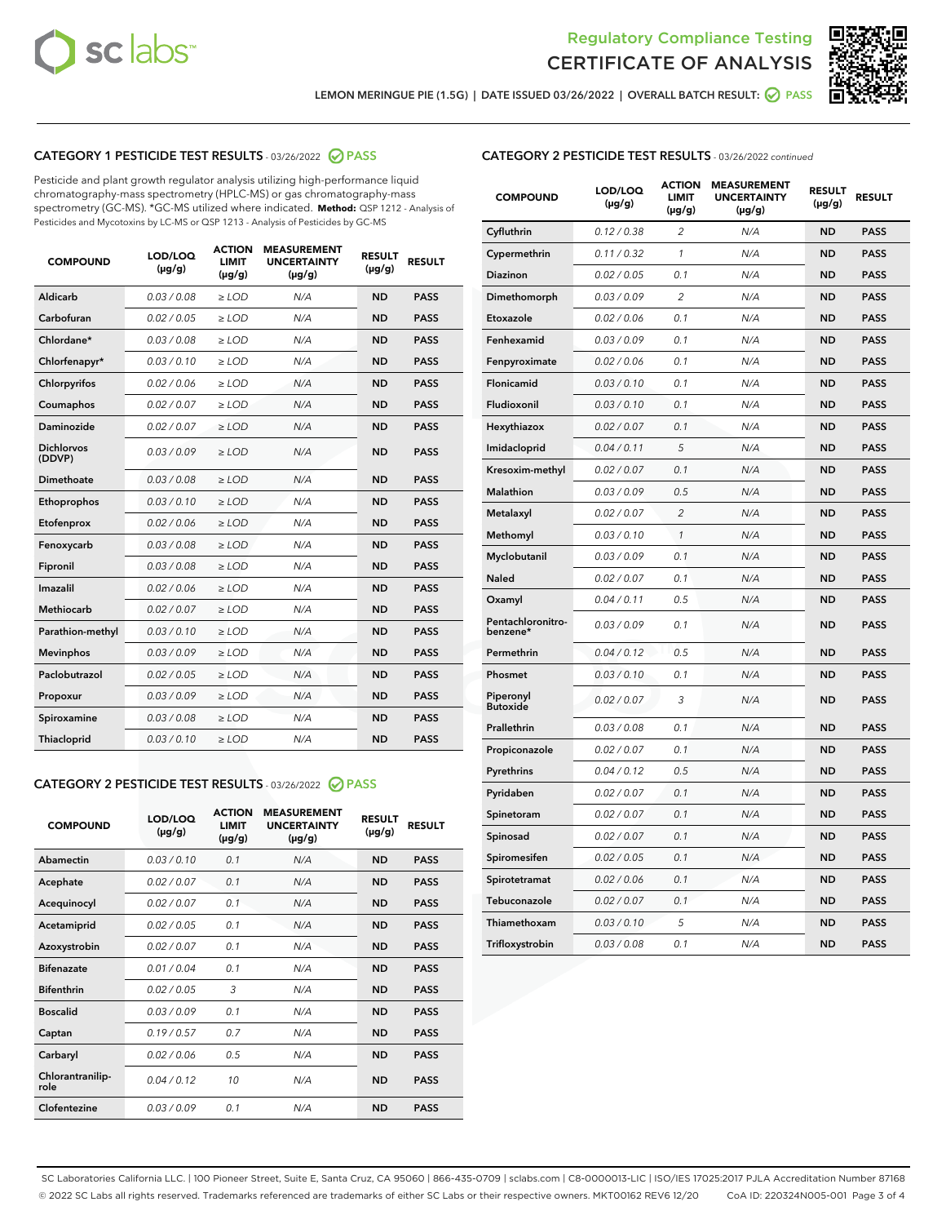



**LEMON MERINGUE PIE (1.5G) | DATE ISSUED 03/26/2022 | OVERALL BATCH RESULT: PASS**

#### **CATEGORY 1 PESTICIDE TEST RESULTS** - 03/26/2022 **PASS**

Pesticide and plant growth regulator analysis utilizing high-performance liquid chromatography-mass spectrometry (HPLC-MS) or gas chromatography-mass spectrometry (GC-MS). \*GC-MS utilized where indicated. **Method:** QSP 1212 - Analysis of Pesticides and Mycotoxins by LC-MS or QSP 1213 - Analysis of Pesticides by GC-MS

| <b>COMPOUND</b>             | LOD/LOQ<br>$(\mu g/g)$ | <b>ACTION</b><br>LIMIT<br>$(\mu g/g)$ | <b>MEASUREMENT</b><br><b>UNCERTAINTY</b><br>$(\mu g/g)$ | <b>RESULT</b><br>$(\mu g/g)$ | <b>RESULT</b> |
|-----------------------------|------------------------|---------------------------------------|---------------------------------------------------------|------------------------------|---------------|
| Aldicarb                    | 0.03 / 0.08            | $\ge$ LOD                             | N/A                                                     | <b>ND</b>                    | <b>PASS</b>   |
| Carbofuran                  | 0.02 / 0.05            | $>$ LOD                               | N/A                                                     | <b>ND</b>                    | <b>PASS</b>   |
| Chlordane*                  | 0.03 / 0.08            | $\geq$ LOD                            | N/A                                                     | <b>ND</b>                    | <b>PASS</b>   |
| Chlorfenapyr*               | 0.03/0.10              | $\geq$ LOD                            | N/A                                                     | <b>ND</b>                    | <b>PASS</b>   |
| Chlorpyrifos                | 0.02/0.06              | $>$ LOD                               | N/A                                                     | <b>ND</b>                    | <b>PASS</b>   |
| Coumaphos                   | 0.02 / 0.07            | $\ge$ LOD                             | N/A                                                     | <b>ND</b>                    | <b>PASS</b>   |
| Daminozide                  | 0.02 / 0.07            | $\ge$ LOD                             | N/A                                                     | <b>ND</b>                    | <b>PASS</b>   |
| <b>Dichlorvos</b><br>(DDVP) | 0.03/0.09              | $\ge$ LOD                             | N/A                                                     | <b>ND</b>                    | <b>PASS</b>   |
| Dimethoate                  | 0.03/0.08              | $>$ LOD                               | N/A                                                     | <b>ND</b>                    | <b>PASS</b>   |
| Ethoprophos                 | 0.03/0.10              | $\ge$ LOD                             | N/A                                                     | <b>ND</b>                    | <b>PASS</b>   |
| Etofenprox                  | 0.02 / 0.06            | $>$ LOD                               | N/A                                                     | <b>ND</b>                    | <b>PASS</b>   |
| Fenoxycarb                  | 0.03/0.08              | $>$ LOD                               | N/A                                                     | <b>ND</b>                    | <b>PASS</b>   |
| Fipronil                    | 0.03 / 0.08            | $\ge$ LOD                             | N/A                                                     | <b>ND</b>                    | <b>PASS</b>   |
| Imazalil                    | 0.02/0.06              | $>$ LOD                               | N/A                                                     | <b>ND</b>                    | <b>PASS</b>   |
| <b>Methiocarb</b>           | 0.02 / 0.07            | $\ge$ LOD                             | N/A                                                     | <b>ND</b>                    | <b>PASS</b>   |
| Parathion-methyl            | 0.03/0.10              | $\ge$ LOD                             | N/A                                                     | <b>ND</b>                    | <b>PASS</b>   |
| <b>Mevinphos</b>            | 0.03/0.09              | $>$ LOD                               | N/A                                                     | <b>ND</b>                    | <b>PASS</b>   |
| Paclobutrazol               | 0.02 / 0.05            | $\ge$ LOD                             | N/A                                                     | <b>ND</b>                    | <b>PASS</b>   |
| Propoxur                    | 0.03/0.09              | $>$ LOD                               | N/A                                                     | <b>ND</b>                    | <b>PASS</b>   |
| Spiroxamine                 | 0.03 / 0.08            | $\ge$ LOD                             | N/A                                                     | <b>ND</b>                    | <b>PASS</b>   |
| Thiacloprid                 | 0.03/0.10              | $\ge$ LOD                             | N/A                                                     | <b>ND</b>                    | <b>PASS</b>   |
|                             |                        |                                       |                                                         |                              |               |

### **CATEGORY 2 PESTICIDE TEST RESULTS** - 03/26/2022 **PASS**

| <b>COMPOUND</b>          | LOD/LOO<br>$(\mu g/g)$ | <b>ACTION</b><br><b>LIMIT</b><br>(µg/g) | <b>MEASUREMENT</b><br><b>UNCERTAINTY</b><br>$(\mu g/g)$ | <b>RESULT</b><br>$(\mu g/g)$ | <b>RESULT</b> |  |
|--------------------------|------------------------|-----------------------------------------|---------------------------------------------------------|------------------------------|---------------|--|
| Abamectin                | 0.03/0.10              | 0.1                                     | N/A                                                     | <b>ND</b>                    | <b>PASS</b>   |  |
| Acephate                 | 0.02/0.07              | 0.1                                     | N/A                                                     | <b>ND</b>                    | <b>PASS</b>   |  |
| Acequinocyl              | 0.02/0.07              | 0.1                                     | N/A                                                     | <b>ND</b>                    | <b>PASS</b>   |  |
| Acetamiprid              | 0.02/0.05              | 0.1                                     | N/A                                                     | <b>ND</b>                    | <b>PASS</b>   |  |
| Azoxystrobin             | 0.02/0.07              | 0.1                                     | N/A                                                     | <b>ND</b>                    | <b>PASS</b>   |  |
| <b>Bifenazate</b>        | 0.01/0.04              | 0.1                                     | N/A                                                     | <b>ND</b>                    | <b>PASS</b>   |  |
| <b>Bifenthrin</b>        | 0.02/0.05              | 3                                       | N/A                                                     | <b>ND</b>                    | <b>PASS</b>   |  |
| <b>Boscalid</b>          | 0.03/0.09              | 0.1                                     | N/A                                                     | <b>ND</b>                    | <b>PASS</b>   |  |
| Captan                   | 0.19/0.57              | 0.7                                     | N/A                                                     | <b>ND</b>                    | <b>PASS</b>   |  |
| Carbaryl                 | 0.02/0.06              | 0.5                                     | N/A                                                     | <b>ND</b>                    | <b>PASS</b>   |  |
| Chlorantranilip-<br>role | 0.04/0.12              | 10                                      | N/A                                                     | <b>ND</b>                    | <b>PASS</b>   |  |
| Clofentezine             | 0.03/0.09              | 0.1                                     | N/A                                                     | <b>ND</b>                    | <b>PASS</b>   |  |

#### **CATEGORY 2 PESTICIDE TEST RESULTS** - 03/26/2022 continued

| <b>COMPOUND</b>               | LOD/LOQ<br>$(\mu g/g)$ | <b>ACTION</b><br><b>LIMIT</b><br>(µg/g) | <b>MEASUREMENT</b><br><b>UNCERTAINTY</b><br>$(\mu g/g)$ | <b>RESULT</b><br>$(\mu g/g)$ | <b>RESULT</b> |
|-------------------------------|------------------------|-----------------------------------------|---------------------------------------------------------|------------------------------|---------------|
| Cyfluthrin                    | 0.12 / 0.38            | $\overline{2}$                          | N/A                                                     | <b>ND</b>                    | <b>PASS</b>   |
| Cypermethrin                  | 0.11 / 0.32            | 1                                       | N/A                                                     | <b>ND</b>                    | <b>PASS</b>   |
| Diazinon                      | 0.02 / 0.05            | 0.1                                     | N/A                                                     | <b>ND</b>                    | <b>PASS</b>   |
| Dimethomorph                  | 0.03 / 0.09            | $\overline{2}$                          | N/A                                                     | <b>ND</b>                    | <b>PASS</b>   |
| Etoxazole                     | 0.02 / 0.06            | 0.1                                     | N/A                                                     | <b>ND</b>                    | <b>PASS</b>   |
| Fenhexamid                    | 0.03 / 0.09            | 0.1                                     | N/A                                                     | <b>ND</b>                    | <b>PASS</b>   |
| Fenpyroximate                 | 0.02 / 0.06            | 0.1                                     | N/A                                                     | <b>ND</b>                    | <b>PASS</b>   |
| Flonicamid                    | 0.03 / 0.10            | 0.1                                     | N/A                                                     | <b>ND</b>                    | <b>PASS</b>   |
| Fludioxonil                   | 0.03 / 0.10            | 0.1                                     | N/A                                                     | <b>ND</b>                    | <b>PASS</b>   |
| Hexythiazox                   | 0.02 / 0.07            | 0.1                                     | N/A                                                     | <b>ND</b>                    | <b>PASS</b>   |
| Imidacloprid                  | 0.04 / 0.11            | 5                                       | N/A                                                     | <b>ND</b>                    | <b>PASS</b>   |
| Kresoxim-methyl               | 0.02 / 0.07            | 0.1                                     | N/A                                                     | <b>ND</b>                    | <b>PASS</b>   |
| <b>Malathion</b>              | 0.03 / 0.09            | 0.5                                     | N/A                                                     | <b>ND</b>                    | <b>PASS</b>   |
| Metalaxyl                     | 0.02 / 0.07            | $\overline{c}$                          | N/A                                                     | <b>ND</b>                    | <b>PASS</b>   |
| Methomyl                      | 0.03 / 0.10            | 1                                       | N/A                                                     | <b>ND</b>                    | <b>PASS</b>   |
| Myclobutanil                  | 0.03 / 0.09            | 0.1                                     | N/A                                                     | <b>ND</b>                    | <b>PASS</b>   |
| Naled                         | 0.02 / 0.07            | 0.1                                     | N/A                                                     | <b>ND</b>                    | <b>PASS</b>   |
| Oxamyl                        | 0.04 / 0.11            | 0.5                                     | N/A                                                     | <b>ND</b>                    | <b>PASS</b>   |
| Pentachloronitro-<br>benzene* | 0.03 / 0.09            | 0.1                                     | N/A                                                     | <b>ND</b>                    | <b>PASS</b>   |
| Permethrin                    | 0.04 / 0.12            | 0.5                                     | N/A                                                     | <b>ND</b>                    | <b>PASS</b>   |
| Phosmet                       | 0.03 / 0.10            | 0.1                                     | N/A                                                     | <b>ND</b>                    | <b>PASS</b>   |
| Piperonyl<br><b>Butoxide</b>  | 0.02 / 0.07            | 3                                       | N/A                                                     | <b>ND</b>                    | <b>PASS</b>   |
| Prallethrin                   | 0.03 / 0.08            | 0.1                                     | N/A                                                     | <b>ND</b>                    | <b>PASS</b>   |
| Propiconazole                 | 0.02 / 0.07            | 0.1                                     | N/A                                                     | <b>ND</b>                    | <b>PASS</b>   |
| Pyrethrins                    | 0.04 / 0.12            | 0.5                                     | N/A                                                     | <b>ND</b>                    | <b>PASS</b>   |
| Pyridaben                     | 0.02 / 0.07            | 0.1                                     | N/A                                                     | <b>ND</b>                    | <b>PASS</b>   |
| Spinetoram                    | 0.02 / 0.07            | 0.1                                     | N/A                                                     | <b>ND</b>                    | <b>PASS</b>   |
| Spinosad                      | 0.02 / 0.07            | 0.1                                     | N/A                                                     | <b>ND</b>                    | <b>PASS</b>   |
| Spiromesifen                  | 0.02 / 0.05            | 0.1                                     | N/A                                                     | <b>ND</b>                    | <b>PASS</b>   |
| Spirotetramat                 | 0.02 / 0.06            | 0.1                                     | N/A                                                     | <b>ND</b>                    | <b>PASS</b>   |
| Tebuconazole                  | 0.02 / 0.07            | 0.1                                     | N/A                                                     | <b>ND</b>                    | <b>PASS</b>   |
| Thiamethoxam                  | 0.03 / 0.10            | 5                                       | N/A                                                     | <b>ND</b>                    | <b>PASS</b>   |
| Trifloxystrobin               | 0.03 / 0.08            | 0.1                                     | N/A                                                     | <b>ND</b>                    | <b>PASS</b>   |

SC Laboratories California LLC. | 100 Pioneer Street, Suite E, Santa Cruz, CA 95060 | 866-435-0709 | sclabs.com | C8-0000013-LIC | ISO/IES 17025:2017 PJLA Accreditation Number 87168 © 2022 SC Labs all rights reserved. Trademarks referenced are trademarks of either SC Labs or their respective owners. MKT00162 REV6 12/20 CoA ID: 220324N005-001 Page 3 of 4